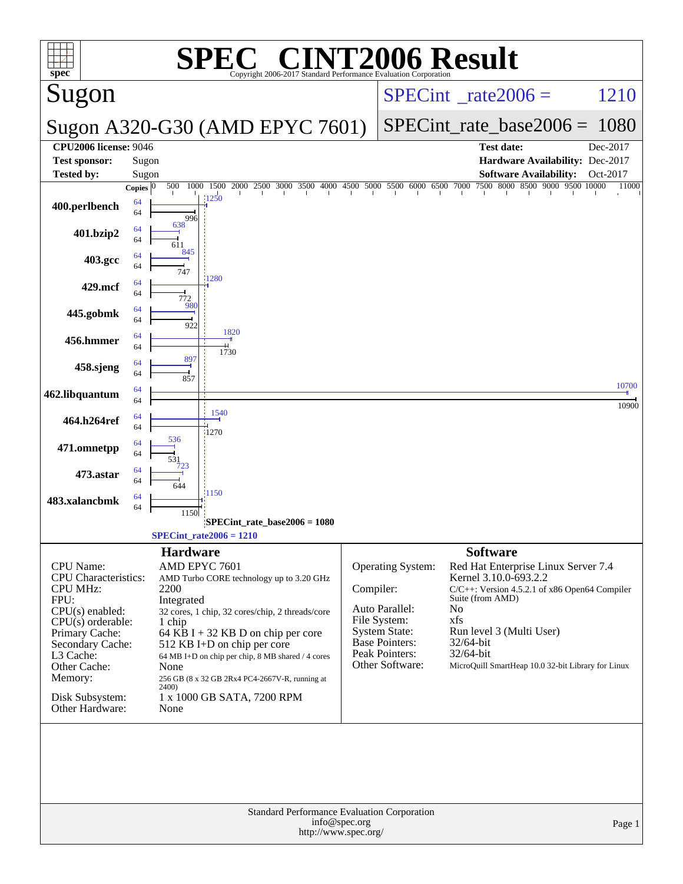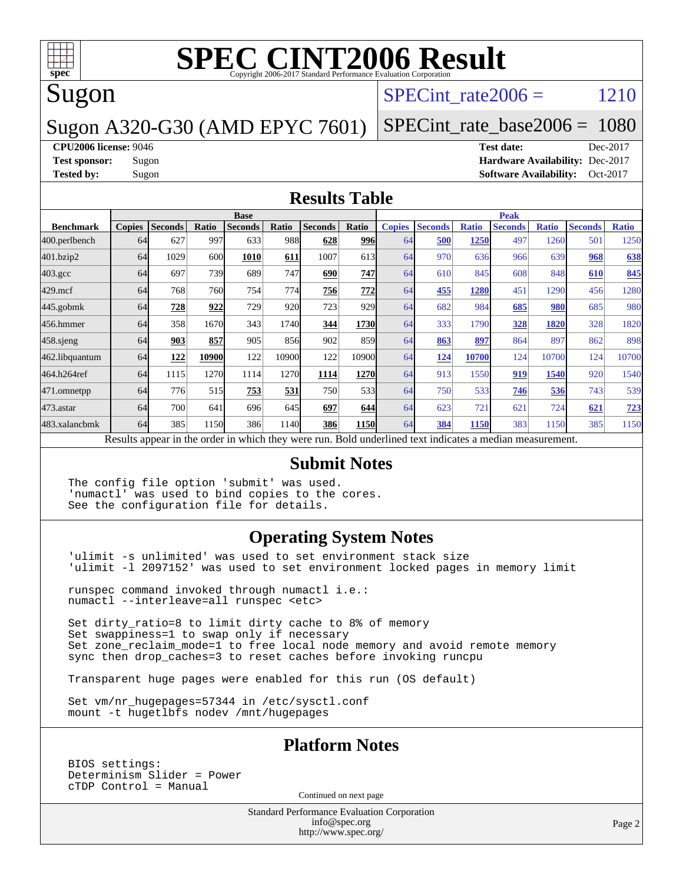

# Sugon

### SPECint rate  $2006 = 1210$

#### Sugon A320-G30 (AMD EPYC 7601)

[SPECint\\_rate\\_base2006 =](http://www.spec.org/auto/cpu2006/Docs/result-fields.html#SPECintratebase2006) 1080

#### **[CPU2006 license:](http://www.spec.org/auto/cpu2006/Docs/result-fields.html#CPU2006license)** 9046 **[Test date:](http://www.spec.org/auto/cpu2006/Docs/result-fields.html#Testdate)** Dec-2017

**[Test sponsor:](http://www.spec.org/auto/cpu2006/Docs/result-fields.html#Testsponsor)** Sugon **[Hardware Availability:](http://www.spec.org/auto/cpu2006/Docs/result-fields.html#HardwareAvailability)** Dec-2017 **[Tested by:](http://www.spec.org/auto/cpu2006/Docs/result-fields.html#Testedby)** Sugon **[Software Availability:](http://www.spec.org/auto/cpu2006/Docs/result-fields.html#SoftwareAvailability)** Oct-2017

#### **[Results Table](http://www.spec.org/auto/cpu2006/Docs/result-fields.html#ResultsTable)**

|                    | <b>Base</b>   |                |       |                |       | <b>Peak</b>                                                                                              |             |               |                |              |                |              |                |              |
|--------------------|---------------|----------------|-------|----------------|-------|----------------------------------------------------------------------------------------------------------|-------------|---------------|----------------|--------------|----------------|--------------|----------------|--------------|
| <b>Benchmark</b>   | <b>Copies</b> | <b>Seconds</b> | Ratio | <b>Seconds</b> | Ratio | <b>Seconds</b>                                                                                           | Ratio       | <b>Copies</b> | <b>Seconds</b> | <b>Ratio</b> | <b>Seconds</b> | <b>Ratio</b> | <b>Seconds</b> | <b>Ratio</b> |
| 400.perlbench      | 64            | 627            | 997   | 633            | 988   | 628                                                                                                      | 996         | 64            | 500            | 1250         | 497            | 1260         | 501            | 1250         |
| 401.bzip2          | 64            | 1029           | 600   | 1010           | 611   | 1007                                                                                                     | 613         | 64            | 970            | 636          | 966            | 639          | 968            | 638          |
| $403.\mathrm{gcc}$ | 64            | 697            | 739   | 689            | 747   | 690                                                                                                      | 747         | 64            | 610            | 845          | 608            | 848          | 610            | 845          |
| $429$ .mcf         | 64            | 768            | 760   | 754            | 774   | 756                                                                                                      | 772         | 64            | 455            | 1280         | 451            | 1290         | 456            | 1280         |
| $445$ .gobmk       | 64            | 728            | 922   | 729            | 920   | 723                                                                                                      | 929         | 64            | 682            | 984          | 685            | <b>980</b>   | 685            | 980          |
| 456.hmmer          | 64            | 358            | 1670  | 343            | 1740  | 344                                                                                                      | 1730        | 64            | 333            | 1790         | 328            | 1820         | 328            | 1820         |
| $458$ .sjeng       | 64            | 903            | 857   | 905            | 856   | 902                                                                                                      | 859         | 64            | 863            | 897          | 864            | 897          | 862            | 898          |
| 462.libquantum     | 64            | 122            | 10900 | 122            | 10900 | 122                                                                                                      | 10900       | 64            | 124            | 10700        | 124            | 10700        | 124            | 10700        |
| 464.h264ref        | 64            | 1115           | 1270  | 1114           | 1270  | 1114                                                                                                     | 1270        | 64            | 913            | 1550         | 919            | 1540         | 920            | 1540         |
| 471.omnetpp        | 64            | 776            | 515   | 753            | 531   | 750                                                                                                      | 533         | 64            | 750            | 533          | 746            | 536          | 743            | 539          |
| $473$ . astar      | 64            | 700            | 641   | 696            | 645   | 697                                                                                                      | 644         | 64            | 623            | 721          | 621            | 724          | 621            | <u>723</u>   |
| 483.xalancbmk      | 64            | 385            | 1150  | 386            | 1140  | 386                                                                                                      | <b>1150</b> | 64            | 384            | 1150         | 383            | 1150         | 385            | 1150         |
|                    |               |                |       |                |       | Results appear in the order in which they were run. Bold underlined text indicates a median measurement. |             |               |                |              |                |              |                |              |

#### **[Submit Notes](http://www.spec.org/auto/cpu2006/Docs/result-fields.html#SubmitNotes)**

The config file option 'submit' was used. 'numactl' was used to bind copies to the cores. See the configuration file for details.

#### **[Operating System Notes](http://www.spec.org/auto/cpu2006/Docs/result-fields.html#OperatingSystemNotes)**

'ulimit -s unlimited' was used to set environment stack size 'ulimit -l 2097152' was used to set environment locked pages in memory limit

runspec command invoked through numactl i.e.: numactl --interleave=all runspec <etc>

Set dirty\_ratio=8 to limit dirty cache to 8% of memory Set swappiness=1 to swap only if necessary Set zone\_reclaim\_mode=1 to free local node memory and avoid remote memory sync then drop\_caches=3 to reset caches before invoking runcpu

Transparent huge pages were enabled for this run (OS default)

Set vm/nr hugepages=57344 in /etc/sysctl.conf mount -t hugetlbfs nodev /mnt/hugepages

#### **[Platform Notes](http://www.spec.org/auto/cpu2006/Docs/result-fields.html#PlatformNotes)**

BIOS settings: Determinism Slider = Power cTDP Control = Manual

Continued on next page

Standard Performance Evaluation Corporation [info@spec.org](mailto:info@spec.org) <http://www.spec.org/>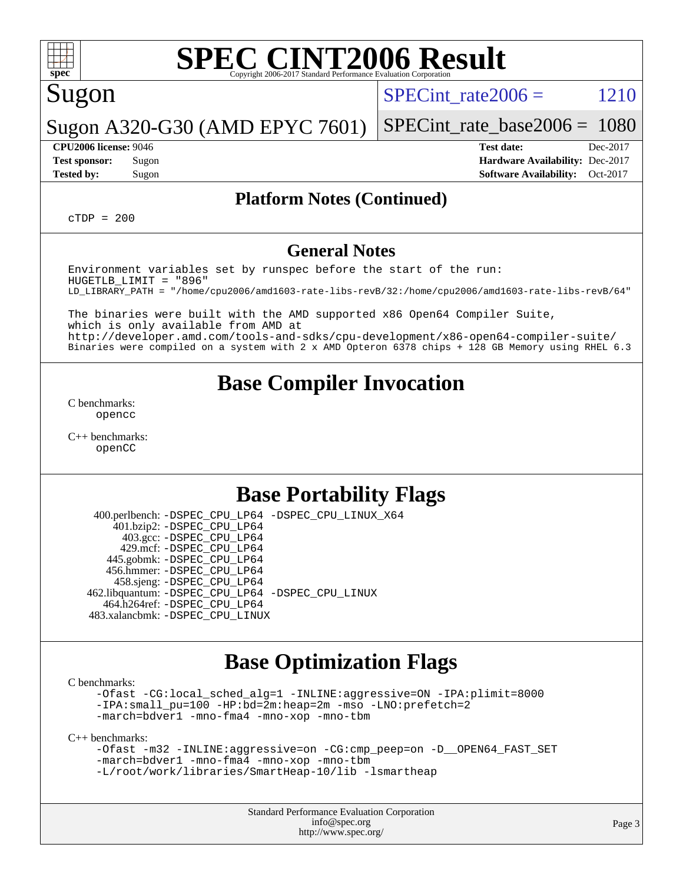

## Sugon

SPECint rate  $2006 = 1210$ 

Sugon A320-G30 (AMD EPYC 7601)

[SPECint\\_rate\\_base2006 =](http://www.spec.org/auto/cpu2006/Docs/result-fields.html#SPECintratebase2006) 1080 **[CPU2006 license:](http://www.spec.org/auto/cpu2006/Docs/result-fields.html#CPU2006license)** 9046 **[Test date:](http://www.spec.org/auto/cpu2006/Docs/result-fields.html#Testdate)** Dec-2017

**[Test sponsor:](http://www.spec.org/auto/cpu2006/Docs/result-fields.html#Testsponsor)** Sugon **[Hardware Availability:](http://www.spec.org/auto/cpu2006/Docs/result-fields.html#HardwareAvailability)** Dec-2017 **[Tested by:](http://www.spec.org/auto/cpu2006/Docs/result-fields.html#Testedby)** Sugon Sugon **[Software Availability:](http://www.spec.org/auto/cpu2006/Docs/result-fields.html#SoftwareAvailability)** Oct-2017

#### **[Platform Notes \(Continued\)](http://www.spec.org/auto/cpu2006/Docs/result-fields.html#PlatformNotes)**

 $C TDP = 200$ 

#### **[General Notes](http://www.spec.org/auto/cpu2006/Docs/result-fields.html#GeneralNotes)**

Environment variables set by runspec before the start of the run: HUGETLB\_LIMIT = "896" LD\_LIBRARY\_PATH = "/home/cpu2006/amd1603-rate-libs-revB/32:/home/cpu2006/amd1603-rate-libs-revB/64"

The binaries were built with the AMD supported x86 Open64 Compiler Suite, which is only available from AMD at <http://developer.amd.com/tools-and-sdks/cpu-development/x86-open64-compiler-suite/> Binaries were compiled on a system with 2 x AMD Opteron 6378 chips + 128 GB Memory using RHEL 6.3

## **[Base Compiler Invocation](http://www.spec.org/auto/cpu2006/Docs/result-fields.html#BaseCompilerInvocation)**

[C benchmarks](http://www.spec.org/auto/cpu2006/Docs/result-fields.html#Cbenchmarks): [opencc](http://www.spec.org/cpu2006/results/res2017q4/cpu2006-20171211-50961.flags.html#user_CCbase_Fopencc)

[C++ benchmarks:](http://www.spec.org/auto/cpu2006/Docs/result-fields.html#CXXbenchmarks) [openCC](http://www.spec.org/cpu2006/results/res2017q4/cpu2006-20171211-50961.flags.html#user_CXXbase_FopenCC)

## **[Base Portability Flags](http://www.spec.org/auto/cpu2006/Docs/result-fields.html#BasePortabilityFlags)**

 400.perlbench: [-DSPEC\\_CPU\\_LP64](http://www.spec.org/cpu2006/results/res2017q4/cpu2006-20171211-50961.flags.html#b400.perlbench_basePORTABILITY_DSPEC_CPU_LP64) [-DSPEC\\_CPU\\_LINUX\\_X64](http://www.spec.org/cpu2006/results/res2017q4/cpu2006-20171211-50961.flags.html#b400.perlbench_baseCPORTABILITY_DSPEC_CPU_LINUX_X64) 401.bzip2: [-DSPEC\\_CPU\\_LP64](http://www.spec.org/cpu2006/results/res2017q4/cpu2006-20171211-50961.flags.html#suite_basePORTABILITY401_bzip2_DSPEC_CPU_LP64) 403.gcc: [-DSPEC\\_CPU\\_LP64](http://www.spec.org/cpu2006/results/res2017q4/cpu2006-20171211-50961.flags.html#suite_basePORTABILITY403_gcc_DSPEC_CPU_LP64) 429.mcf: [-DSPEC\\_CPU\\_LP64](http://www.spec.org/cpu2006/results/res2017q4/cpu2006-20171211-50961.flags.html#suite_basePORTABILITY429_mcf_DSPEC_CPU_LP64) 445.gobmk: [-DSPEC\\_CPU\\_LP64](http://www.spec.org/cpu2006/results/res2017q4/cpu2006-20171211-50961.flags.html#suite_basePORTABILITY445_gobmk_DSPEC_CPU_LP64) 456.hmmer: [-DSPEC\\_CPU\\_LP64](http://www.spec.org/cpu2006/results/res2017q4/cpu2006-20171211-50961.flags.html#suite_basePORTABILITY456_hmmer_DSPEC_CPU_LP64) 458.sjeng: [-DSPEC\\_CPU\\_LP64](http://www.spec.org/cpu2006/results/res2017q4/cpu2006-20171211-50961.flags.html#suite_basePORTABILITY458_sjeng_DSPEC_CPU_LP64) 462.libquantum: [-DSPEC\\_CPU\\_LP64](http://www.spec.org/cpu2006/results/res2017q4/cpu2006-20171211-50961.flags.html#suite_basePORTABILITY462_libquantum_DSPEC_CPU_LP64) [-DSPEC\\_CPU\\_LINUX](http://www.spec.org/cpu2006/results/res2017q4/cpu2006-20171211-50961.flags.html#b462.libquantum_baseCPORTABILITY_DSPEC_CPU_LINUX) 464.h264ref: [-DSPEC\\_CPU\\_LP64](http://www.spec.org/cpu2006/results/res2017q4/cpu2006-20171211-50961.flags.html#suite_basePORTABILITY464_h264ref_DSPEC_CPU_LP64) 483.xalancbmk: [-DSPEC\\_CPU\\_LINUX](http://www.spec.org/cpu2006/results/res2017q4/cpu2006-20171211-50961.flags.html#b483.xalancbmk_baseCXXPORTABILITY_DSPEC_CPU_LINUX)

### **[Base Optimization Flags](http://www.spec.org/auto/cpu2006/Docs/result-fields.html#BaseOptimizationFlags)**

[C benchmarks](http://www.spec.org/auto/cpu2006/Docs/result-fields.html#Cbenchmarks):

[-Ofast](http://www.spec.org/cpu2006/results/res2017q4/cpu2006-20171211-50961.flags.html#user_CCbase_F-Ofast) [-CG:local\\_sched\\_alg=1](http://www.spec.org/cpu2006/results/res2017q4/cpu2006-20171211-50961.flags.html#user_CCbase_F-CG:local_sched_alg_2175ca61f1a2717f1ec57b14995b9e7a) [-INLINE:aggressive=ON](http://www.spec.org/cpu2006/results/res2017q4/cpu2006-20171211-50961.flags.html#user_CCbase_F-INLINE:aggressive_1968a21fda3b9e485676870015f71302) [-IPA:plimit=8000](http://www.spec.org/cpu2006/results/res2017q4/cpu2006-20171211-50961.flags.html#user_CCbase_F-IPA:plimit_92cba83f3d47f09c7d5368fda93ddbd7) [-IPA:small\\_pu=100](http://www.spec.org/cpu2006/results/res2017q4/cpu2006-20171211-50961.flags.html#user_CCbase_F-IPA:small_pu_900a09767c6929d55c26ea3d32399996) [-HP:bd=2m:heap=2m](http://www.spec.org/cpu2006/results/res2017q4/cpu2006-20171211-50961.flags.html#user_CCbase_F-HUGEPAGE_539c723a9f9bd1bd95cd839aeb740bae) [-mso](http://www.spec.org/cpu2006/results/res2017q4/cpu2006-20171211-50961.flags.html#user_CCbase_F-mso) [-LNO:prefetch=2](http://www.spec.org/cpu2006/results/res2017q4/cpu2006-20171211-50961.flags.html#user_CCbase_F-LNO:prefetch_9aee81855ba0592a3c8a40ba7b041143) [-march=bdver1](http://www.spec.org/cpu2006/results/res2017q4/cpu2006-20171211-50961.flags.html#user_CCbase_F-march_fdb9f2653a6b3eaa60be4cf93a9ba5f3) [-mno-fma4](http://www.spec.org/cpu2006/results/res2017q4/cpu2006-20171211-50961.flags.html#user_CCbase_F-mno-fma4_e29f3a785f8b63ba2d60793d5b1cf4c3) [-mno-xop](http://www.spec.org/cpu2006/results/res2017q4/cpu2006-20171211-50961.flags.html#user_CCbase_F-mno-xop) [-mno-tbm](http://www.spec.org/cpu2006/results/res2017q4/cpu2006-20171211-50961.flags.html#user_CCbase_F-mno-tbm)

[C++ benchmarks:](http://www.spec.org/auto/cpu2006/Docs/result-fields.html#CXXbenchmarks)

```
-Ofast -m32 -INLINE:aggressive=on -CG:cmp_peep=on -D__OPEN64_FAST_SET
-march=bdver1 -mno-fma4 -mno-xop -mno-tbm
-L/root/work/libraries/SmartHeap-10/lib -lsmartheap
```
Standard Performance Evaluation Corporation [info@spec.org](mailto:info@spec.org) <http://www.spec.org/>

Page 3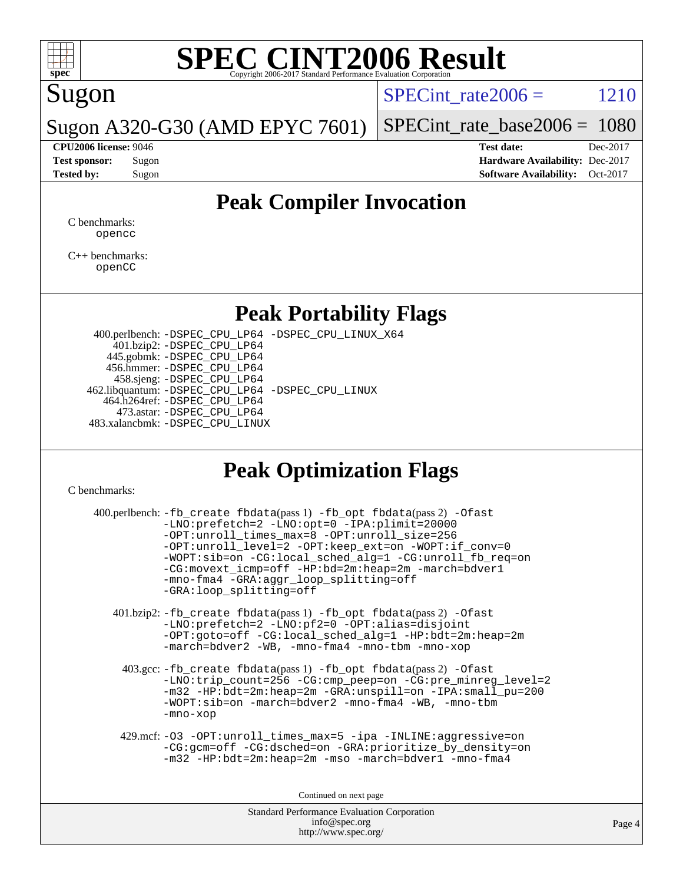

# Sugon

 $SPECTnt_rate2006 = 1210$ 

Sugon A320-G30 (AMD EPYC 7601)

[SPECint\\_rate\\_base2006 =](http://www.spec.org/auto/cpu2006/Docs/result-fields.html#SPECintratebase2006) 1080 **[CPU2006 license:](http://www.spec.org/auto/cpu2006/Docs/result-fields.html#CPU2006license)** 9046 **[Test date:](http://www.spec.org/auto/cpu2006/Docs/result-fields.html#Testdate)** Dec-2017

**[Test sponsor:](http://www.spec.org/auto/cpu2006/Docs/result-fields.html#Testsponsor)** Sugon **[Hardware Availability:](http://www.spec.org/auto/cpu2006/Docs/result-fields.html#HardwareAvailability)** Dec-2017 **[Tested by:](http://www.spec.org/auto/cpu2006/Docs/result-fields.html#Testedby)** Sugon **[Software Availability:](http://www.spec.org/auto/cpu2006/Docs/result-fields.html#SoftwareAvailability)** Oct-2017

## **[Peak Compiler Invocation](http://www.spec.org/auto/cpu2006/Docs/result-fields.html#PeakCompilerInvocation)**

[C benchmarks](http://www.spec.org/auto/cpu2006/Docs/result-fields.html#Cbenchmarks): [opencc](http://www.spec.org/cpu2006/results/res2017q4/cpu2006-20171211-50961.flags.html#user_CCpeak_Fopencc)

[C++ benchmarks:](http://www.spec.org/auto/cpu2006/Docs/result-fields.html#CXXbenchmarks) [openCC](http://www.spec.org/cpu2006/results/res2017q4/cpu2006-20171211-50961.flags.html#user_CXXpeak_FopenCC)

### **[Peak Portability Flags](http://www.spec.org/auto/cpu2006/Docs/result-fields.html#PeakPortabilityFlags)**

 400.perlbench: [-DSPEC\\_CPU\\_LP64](http://www.spec.org/cpu2006/results/res2017q4/cpu2006-20171211-50961.flags.html#b400.perlbench_peakPORTABILITY_DSPEC_CPU_LP64) [-DSPEC\\_CPU\\_LINUX\\_X64](http://www.spec.org/cpu2006/results/res2017q4/cpu2006-20171211-50961.flags.html#b400.perlbench_peakCPORTABILITY_DSPEC_CPU_LINUX_X64) 401.bzip2: [-DSPEC\\_CPU\\_LP64](http://www.spec.org/cpu2006/results/res2017q4/cpu2006-20171211-50961.flags.html#suite_peakPORTABILITY401_bzip2_DSPEC_CPU_LP64) 445.gobmk: [-DSPEC\\_CPU\\_LP64](http://www.spec.org/cpu2006/results/res2017q4/cpu2006-20171211-50961.flags.html#suite_peakPORTABILITY445_gobmk_DSPEC_CPU_LP64) 456.hmmer: [-DSPEC\\_CPU\\_LP64](http://www.spec.org/cpu2006/results/res2017q4/cpu2006-20171211-50961.flags.html#suite_peakPORTABILITY456_hmmer_DSPEC_CPU_LP64) 458.sjeng: [-DSPEC\\_CPU\\_LP64](http://www.spec.org/cpu2006/results/res2017q4/cpu2006-20171211-50961.flags.html#suite_peakPORTABILITY458_sjeng_DSPEC_CPU_LP64) 462.libquantum: [-DSPEC\\_CPU\\_LP64](http://www.spec.org/cpu2006/results/res2017q4/cpu2006-20171211-50961.flags.html#suite_peakPORTABILITY462_libquantum_DSPEC_CPU_LP64) [-DSPEC\\_CPU\\_LINUX](http://www.spec.org/cpu2006/results/res2017q4/cpu2006-20171211-50961.flags.html#b462.libquantum_peakCPORTABILITY_DSPEC_CPU_LINUX) 464.h264ref: [-DSPEC\\_CPU\\_LP64](http://www.spec.org/cpu2006/results/res2017q4/cpu2006-20171211-50961.flags.html#suite_peakPORTABILITY464_h264ref_DSPEC_CPU_LP64) 473.astar: [-DSPEC\\_CPU\\_LP64](http://www.spec.org/cpu2006/results/res2017q4/cpu2006-20171211-50961.flags.html#suite_peakPORTABILITY473_astar_DSPEC_CPU_LP64) 483.xalancbmk: [-DSPEC\\_CPU\\_LINUX](http://www.spec.org/cpu2006/results/res2017q4/cpu2006-20171211-50961.flags.html#b483.xalancbmk_peakCXXPORTABILITY_DSPEC_CPU_LINUX)

## **[Peak Optimization Flags](http://www.spec.org/auto/cpu2006/Docs/result-fields.html#PeakOptimizationFlags)**

[C benchmarks](http://www.spec.org/auto/cpu2006/Docs/result-fields.html#Cbenchmarks):

| 400.perlbench: -fb_create fbdata(pass 1) -fb_opt fbdata(pass 2) -Ofast<br>-LNO:prefetch=2 -LNO:opt=0 -IPA:plimit=20000<br>-OPT:unroll_times_max=8 -OPT:unroll_size=256<br>-OPT:unroll_level=2 -OPT:keep_ext=on -WOPT:if_conv=0<br>-WOPT:sib=on -CG:local_sched_alg=1 -CG:unroll_fb_req=on<br>-CG:movext_icmp=off -HP:bd=2m:heap=2m -march=bdver1<br>-mno-fma4 -GRA:aggr_loop_splitting=off<br>-GRA:loop splitting=off |        |
|-----------------------------------------------------------------------------------------------------------------------------------------------------------------------------------------------------------------------------------------------------------------------------------------------------------------------------------------------------------------------------------------------------------------------|--------|
| 401.bzip2: -fb_create fbdata(pass 1) -fb_opt fbdata(pass 2) -Ofast<br>-LNO: prefetch=2 -LNO: pf2=0 -OPT: alias=disjoint<br>-OPT:goto=off -CG:local_sched_alg=1 -HP:bdt=2m:heap=2m<br>-march=bdver2 -WB, -mno-fma4 -mno-tbm -mno-xop                                                                                                                                                                                   |        |
| $403.\text{gcc}$ : -fb_create fbdata(pass 1) -fb_opt fbdata(pass 2) -Ofast<br>-LNO:trip_count=256 -CG:cmp_peep=on -CG:pre_minreg_level=2<br>-m32 -HP:bdt=2m:heap=2m -GRA:unspill=on -IPA:small pu=200<br>-WOPT:sib=on -march=bdver2 -mno-fma4 -WB, -mno-tbm<br>-mno-xop                                                                                                                                               |        |
| 429.mcf: -03 -0PT:unroll_times_max=5 -ipa -INLINE:aggressive=on<br>-CG:gcm=off -CG:dsched=on -GRA:prioritize_by_density=on<br>$-m32$ -HP: $bdt=2m:heap=2m$ -mso -march= $bdver1$ -mno-fma4                                                                                                                                                                                                                            |        |
| Continued on next page                                                                                                                                                                                                                                                                                                                                                                                                |        |
| <b>Standard Performance Evaluation Corporation</b><br>info@spec.org                                                                                                                                                                                                                                                                                                                                                   | Page 4 |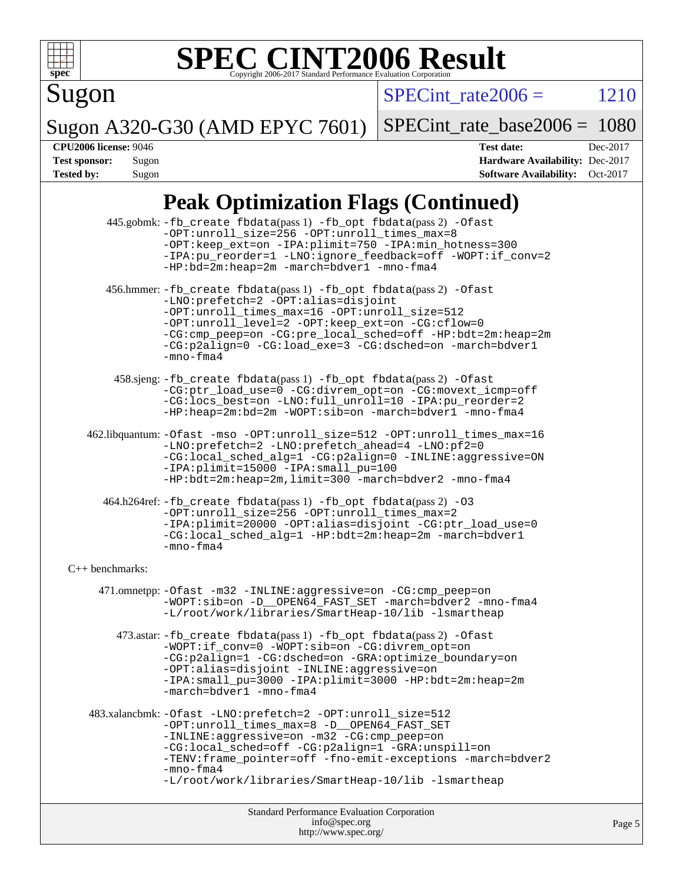

Sugon

 $SPECTnt_rate2006 = 1210$ 

Sugon A320-G30 (AMD EPYC 7601)

[SPECint\\_rate\\_base2006 =](http://www.spec.org/auto/cpu2006/Docs/result-fields.html#SPECintratebase2006) 1080

**[CPU2006 license:](http://www.spec.org/auto/cpu2006/Docs/result-fields.html#CPU2006license)** 9046 **[Test date:](http://www.spec.org/auto/cpu2006/Docs/result-fields.html#Testdate)** Dec-2017 **[Test sponsor:](http://www.spec.org/auto/cpu2006/Docs/result-fields.html#Testsponsor)** Sugon **[Hardware Availability:](http://www.spec.org/auto/cpu2006/Docs/result-fields.html#HardwareAvailability)** Dec-2017 **[Tested by:](http://www.spec.org/auto/cpu2006/Docs/result-fields.html#Testedby)** Sugon **[Software Availability:](http://www.spec.org/auto/cpu2006/Docs/result-fields.html#SoftwareAvailability)** Oct-2017

# **[Peak Optimization Flags \(Continued\)](http://www.spec.org/auto/cpu2006/Docs/result-fields.html#PeakOptimizationFlags)**

|                   | Standard Performance Evaluation Corporation<br>info@spec.org                                                                                                                                                                                                                                                                                              | Page |
|-------------------|-----------------------------------------------------------------------------------------------------------------------------------------------------------------------------------------------------------------------------------------------------------------------------------------------------------------------------------------------------------|------|
|                   | -CG:local_sched=off -CG:p2align=1 -GRA:unspill=on<br>-TENV: frame_pointer=off -fno-emit-exceptions -march=bdver2<br>$-mno-fma4$<br>-L/root/work/libraries/SmartHeap-10/lib -lsmartheap                                                                                                                                                                    |      |
|                   | 483.xalancbmk: -Ofast -LNO: prefetch=2 -OPT: unroll_size=512<br>-OPT:unroll_times_max=8 -D__OPEN64_FAST_SET<br>-INLINE:aggressive=on -m32 -CG:cmp_peep=on                                                                                                                                                                                                 |      |
|                   | 473.astar: -fb_create fbdata(pass 1) -fb_opt fbdata(pass 2) -Ofast<br>-WOPT:if_conv=0 -WOPT:sib=on -CG:divrem_opt=on<br>-CG:p2align=1 -CG:dsched=on -GRA:optimize_boundary=on<br>-OPT:alias=disjoint -INLINE:aggressive=on<br>-IPA:small_pu=3000 -IPA:plimit=3000 -HP:bdt=2m:heap=2m<br>-march=bdver1 -mno-fma4                                           |      |
|                   | 471.omnetpp: - Ofast - m32 - INLINE: aggressive=on - CG: cmp_peep=on<br>-WOPT:sib=on -D__OPEN64_FAST_SET -march=bdver2 -mno-fma4<br>-L/root/work/libraries/SmartHeap-10/lib -lsmartheap                                                                                                                                                                   |      |
| $C++$ benchmarks: |                                                                                                                                                                                                                                                                                                                                                           |      |
|                   | 464.h264ref: -fb_create fbdata(pass 1) -fb_opt fbdata(pass 2) -03<br>-OPT:unroll_size=256 -OPT:unroll_times_max=2<br>-IPA:plimit=20000 -OPT:alias=disjoint -CG:ptr_load_use=0<br>-CG:local_sched_alg=1 -HP:bdt=2m:heap=2m -march=bdver1<br>$-mno-fma4$                                                                                                    |      |
|                   | -CG:local_sched_alg=1 -CG:p2align=0 -INLINE:aggressive=ON<br>-IPA:plimit=15000 -IPA:small_pu=100<br>-HP:bdt=2m:heap=2m,limit=300 -march=bdver2 -mno-fma4                                                                                                                                                                                                  |      |
|                   | 462.libquantum: -Ofast -mso -OPT:unroll_size=512 -OPT:unroll_times_max=16<br>-LNO:prefetch=2 -LNO:prefetch_ahead=4 -LNO:pf2=0                                                                                                                                                                                                                             |      |
|                   | 458.sjeng: -fb_create fbdata(pass 1) -fb_opt fbdata(pass 2) -Ofast<br>-CG:ptr_load_use=0 -CG:divrem_opt=on -CG:movext_icmp=off<br>-CG:locs_best=on -LNO:full_unroll=10 -IPA:pu_reorder=2<br>-HP:heap=2m:bd=2m -WOPT:sib=on -march=bdver1 -mno-fma4                                                                                                        |      |
|                   | 456.hmmer: -fb_create fbdata(pass 1) -fb_opt fbdata(pass 2) -Ofast<br>-LNO: prefetch=2 -OPT: alias=disjoint<br>-OPT:unroll_times_max=16 -OPT:unroll_size=512<br>-OPT:unroll_level=2 -OPT:keep_ext=on -CG:cflow=0<br>-CG:cmp_peep=on -CG:pre_local_sched=off -HP:bdt=2m:heap=2m<br>-CG:p2align=0 -CG:load_exe=3 -CG:dsched=on -march=bdver1<br>$-mno-fma4$ |      |
|                   | 445.gobmk: -fb_create fbdata(pass 1) -fb_opt fbdata(pass 2) -Ofast<br>-OPT:unroll_size=256 -OPT:unroll_times_max=8<br>-OPT: keep_ext=on -IPA: plimit=750 -IPA: min_hotness=300<br>-IPA:pu_reorder=1 -LNO:ignore_feedback=off -WOPT:if_conv=2<br>-HP:bd=2m:heap=2m -march=bdver1 -mno-fma4                                                                 |      |

<http://www.spec.org/>